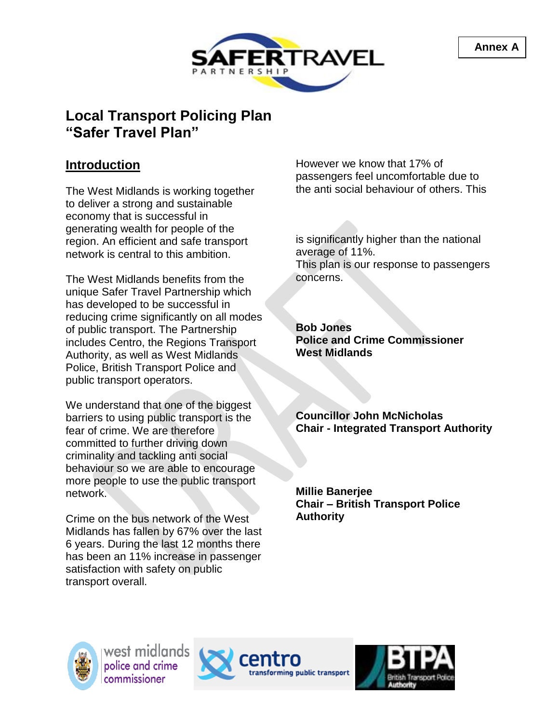



#### **Introduction**

The West Midlands is working together to deliver a strong and sustainable economy that is successful in generating wealth for people of the region. An efficient and safe transport network is central to this ambition.

The West Midlands benefits from the unique Safer Travel Partnership which has developed to be successful in reducing crime significantly on all modes of public transport. The Partnership includes Centro, the Regions Transport Authority, as well as West Midlands Police, British Transport Police and public transport operators.

We understand that one of the biggest barriers to using public transport is the fear of crime. We are therefore committed to further driving down criminality and tackling anti social behaviour so we are able to encourage more people to use the public transport network.

Crime on the bus network of the West Midlands has fallen by 67% over the last 6 years. During the last 12 months there has been an 11% increase in passenger satisfaction with safety on public transport overall.

However we know that 17% of passengers feel uncomfortable due to the anti social behaviour of others. This

is significantly higher than the national average of 11%. This plan is our response to passengers concerns.

**Bob Jones Police and Crime Commissioner West Midlands**

**Councillor John McNicholas Chair - Integrated Transport Authority**

**Millie Banerjee Chair – British Transport Police Authority**



west midlands police and crime commissioner



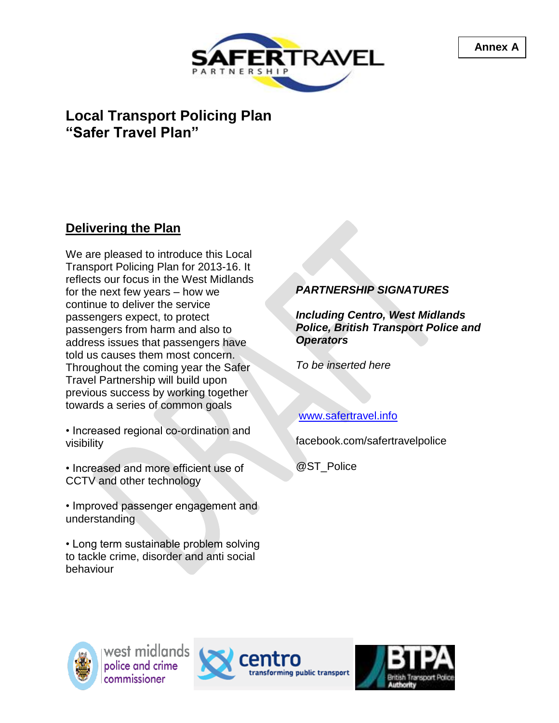



#### **Delivering the Plan**

We are pleased to introduce this Local Transport Policing Plan for 2013-16. It reflects our focus in the West Midlands for the next few years – how we continue to deliver the service passengers expect, to protect passengers from harm and also to address issues that passengers have told us causes them most concern. Throughout the coming year the Safer Travel Partnership will build upon previous success by working together towards a series of common goals

• Increased regional co-ordination and visibility

• Increased and more efficient use of CCTV and other technology

• Improved passenger engagement and understanding

• Long term sustainable problem solving to tackle crime, disorder and anti social behaviour

#### *PARTNERSHIP SIGNATURES*

*Including Centro, West Midlands Police, British Transport Police and Operators*

*To be inserted here*

#### [www.safertravel.info](http://www.safertravel.info/)

facebook.com/safertravelpolice

@ST\_Police





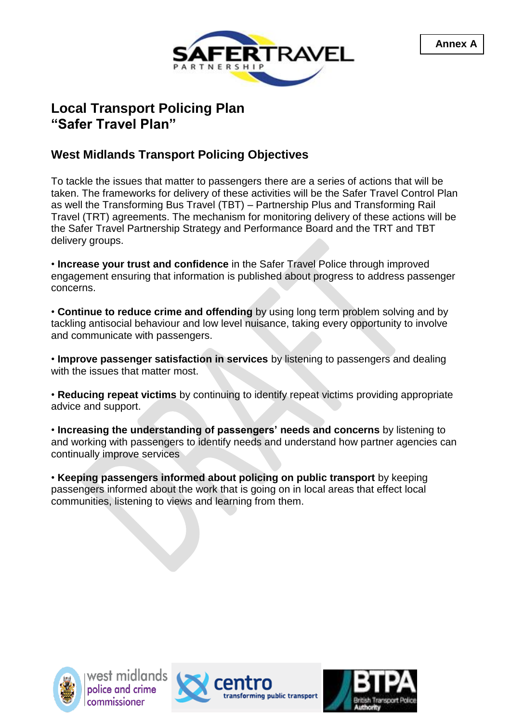



#### **West Midlands Transport Policing Objectives**

To tackle the issues that matter to passengers there are a series of actions that will be taken. The frameworks for delivery of these activities will be the Safer Travel Control Plan as well the Transforming Bus Travel (TBT) – Partnership Plus and Transforming Rail Travel (TRT) agreements. The mechanism for monitoring delivery of these actions will be the Safer Travel Partnership Strategy and Performance Board and the TRT and TBT delivery groups.

• **Increase your trust and confidence** in the Safer Travel Police through improved engagement ensuring that information is published about progress to address passenger concerns.

• **Continue to reduce crime and offending** by using long term problem solving and by tackling antisocial behaviour and low level nuisance, taking every opportunity to involve and communicate with passengers.

• **Improve passenger satisfaction in services** by listening to passengers and dealing with the issues that matter most.

• **Reducing repeat victims** by continuing to identify repeat victims providing appropriate advice and support.

• **Increasing the understanding of passengers' needs and concerns** by listening to and working with passengers to identify needs and understand how partner agencies can continually improve services

• **Keeping passengers informed about policing on public transport** by keeping passengers informed about the work that is going on in local areas that effect local communities, listening to views and learning from them.





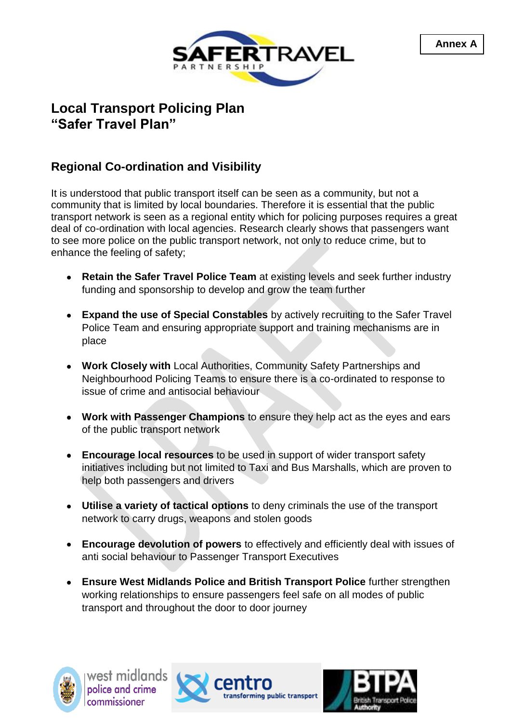

#### **Regional Co-ordination and Visibility**

It is understood that public transport itself can be seen as a community, but not a community that is limited by local boundaries. Therefore it is essential that the public transport network is seen as a regional entity which for policing purposes requires a great deal of co-ordination with local agencies. Research clearly shows that passengers want to see more police on the public transport network, not only to reduce crime, but to enhance the feeling of safety;

- **Retain the Safer Travel Police Team** at existing levels and seek further industry funding and sponsorship to develop and grow the team further
- **Expand the use of Special Constables** by actively recruiting to the Safer Travel Police Team and ensuring appropriate support and training mechanisms are in place
- **Work Closely with** Local Authorities, Community Safety Partnerships and Neighbourhood Policing Teams to ensure there is a co-ordinated to response to issue of crime and antisocial behaviour
- **Work with Passenger Champions** to ensure they help act as the eyes and ears of the public transport network
- **Encourage local resources** to be used in support of wider transport safety initiatives including but not limited to Taxi and Bus Marshalls, which are proven to help both passengers and drivers
- **Utilise a variety of tactical options** to deny criminals the use of the transport network to carry drugs, weapons and stolen goods
- **Encourage devolution of powers** to effectively and efficiently deal with issues of anti social behaviour to Passenger Transport Executives
- **Ensure West Midlands Police and British Transport Police** further strengthen working relationships to ensure passengers feel safe on all modes of public transport and throughout the door to door journey





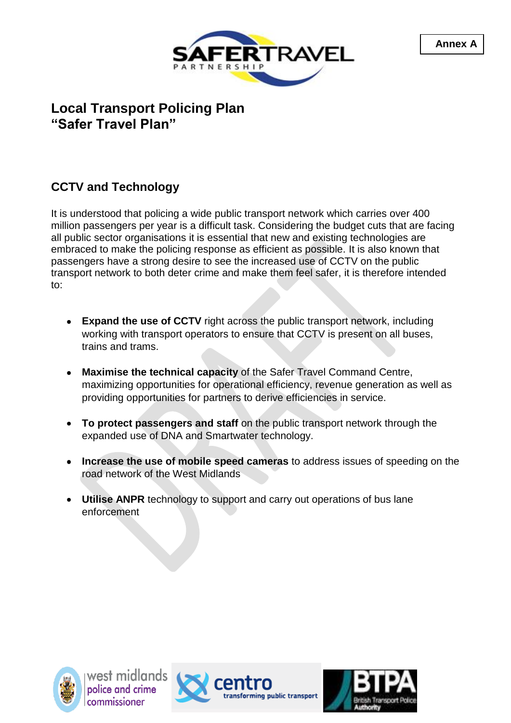

### **CCTV and Technology**

It is understood that policing a wide public transport network which carries over 400 million passengers per year is a difficult task. Considering the budget cuts that are facing all public sector organisations it is essential that new and existing technologies are embraced to make the policing response as efficient as possible. It is also known that passengers have a strong desire to see the increased use of CCTV on the public transport network to both deter crime and make them feel safer, it is therefore intended to:

- **Expand the use of CCTV** right across the public transport network, including working with transport operators to ensure that CCTV is present on all buses, trains and trams.
- **Maximise the technical capacity** of the Safer Travel Command Centre, maximizing opportunities for operational efficiency, revenue generation as well as providing opportunities for partners to derive efficiencies in service.
- **To protect passengers and staff** on the public transport network through the  $\bullet$ expanded use of DNA and Smartwater technology.
- **Increase the use of mobile speed cameras** to address issues of speeding on the  $\bullet$ road network of the West Midlands
- **Utilise ANPR** technology to support and carry out operations of bus lane enforcement





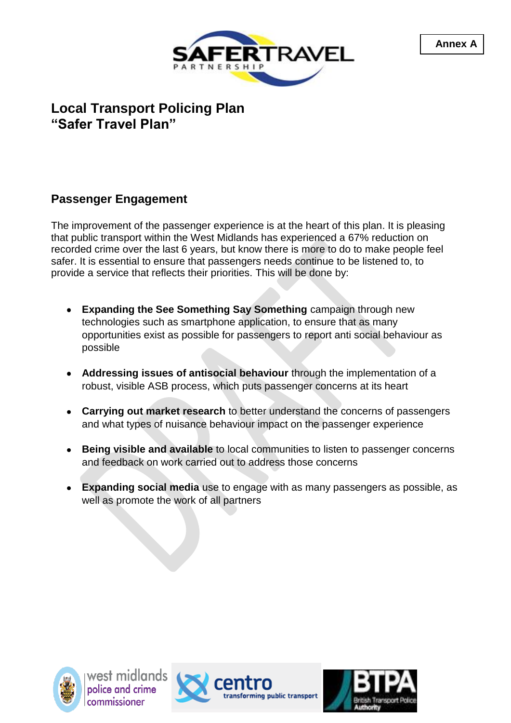

#### **Passenger Engagement**

The improvement of the passenger experience is at the heart of this plan. It is pleasing that public transport within the West Midlands has experienced a 67% reduction on recorded crime over the last 6 years, but know there is more to do to make people feel safer. It is essential to ensure that passengers needs continue to be listened to, to provide a service that reflects their priorities. This will be done by:

- **Expanding the See Something Say Something** campaign through new technologies such as smartphone application, to ensure that as many opportunities exist as possible for passengers to report anti social behaviour as possible
- **Addressing issues of antisocial behaviour** through the implementation of a robust, visible ASB process, which puts passenger concerns at its heart
- **Carrying out market research** to better understand the concerns of passengers and what types of nuisance behaviour impact on the passenger experience
- **Being visible and available** to local communities to listen to passenger concerns and feedback on work carried out to address those concerns
- **Expanding social media** use to engage with as many passengers as possible, as well as promote the work of all partners